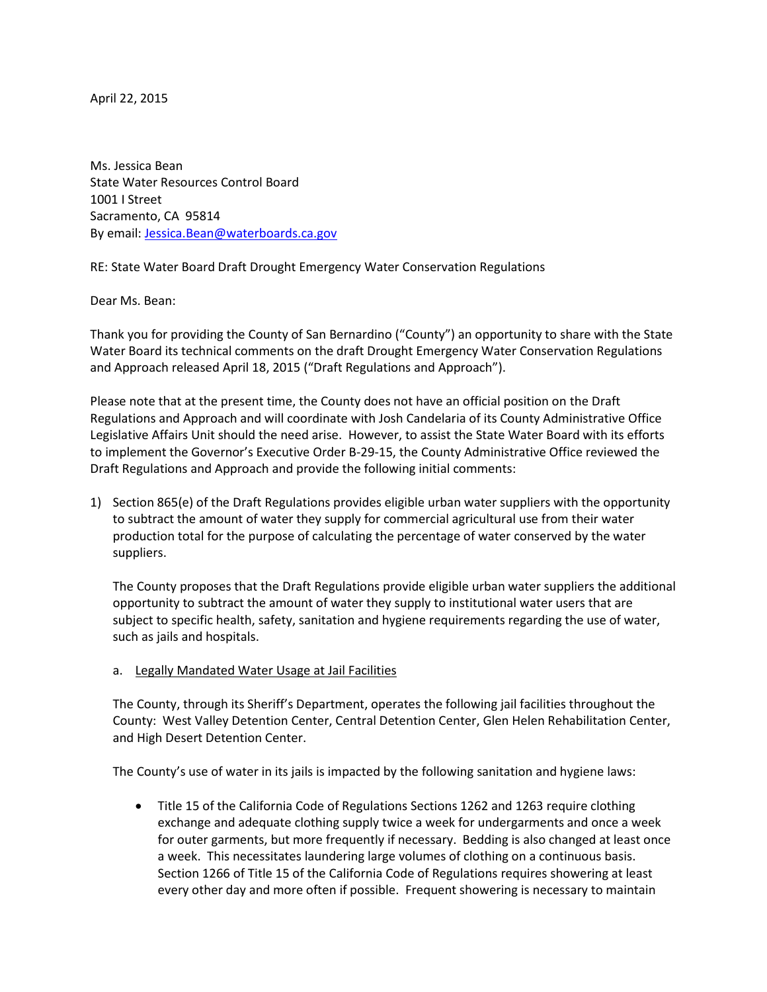April 22, 2015

Ms. Jessica Bean State Water Resources Control Board 1001 I Street Sacramento, CA 95814 By email: [Jessica.Bean@waterboards.ca.gov](mailto:Jessica.Bean@waterboards.ca.gov)

RE: State Water Board Draft Drought Emergency Water Conservation Regulations

Dear Ms. Bean:

Thank you for providing the County of San Bernardino ("County") an opportunity to share with the State Water Board its technical comments on the draft Drought Emergency Water Conservation Regulations and Approach released April 18, 2015 ("Draft Regulations and Approach").

Please note that at the present time, the County does not have an official position on the Draft Regulations and Approach and will coordinate with Josh Candelaria of its County Administrative Office Legislative Affairs Unit should the need arise. However, to assist the State Water Board with its efforts to implement the Governor's Executive Order B-29-15, the County Administrative Office reviewed the Draft Regulations and Approach and provide the following initial comments:

1) Section 865(e) of the Draft Regulations provides eligible urban water suppliers with the opportunity to subtract the amount of water they supply for commercial agricultural use from their water production total for the purpose of calculating the percentage of water conserved by the water suppliers.

The County proposes that the Draft Regulations provide eligible urban water suppliers the additional opportunity to subtract the amount of water they supply to institutional water users that are subject to specific health, safety, sanitation and hygiene requirements regarding the use of water, such as jails and hospitals.

a. Legally Mandated Water Usage at Jail Facilities

The County, through its Sheriff's Department, operates the following jail facilities throughout the County: West Valley Detention Center, Central Detention Center, Glen Helen Rehabilitation Center, and High Desert Detention Center.

The County's use of water in its jails is impacted by the following sanitation and hygiene laws:

 Title 15 of the California Code of Regulations Sections 1262 and 1263 require clothing exchange and adequate clothing supply twice a week for undergarments and once a week for outer garments, but more frequently if necessary. Bedding is also changed at least once a week. This necessitates laundering large volumes of clothing on a continuous basis. Section 1266 of Title 15 of the California Code of Regulations requires showering at least every other day and more often if possible. Frequent showering is necessary to maintain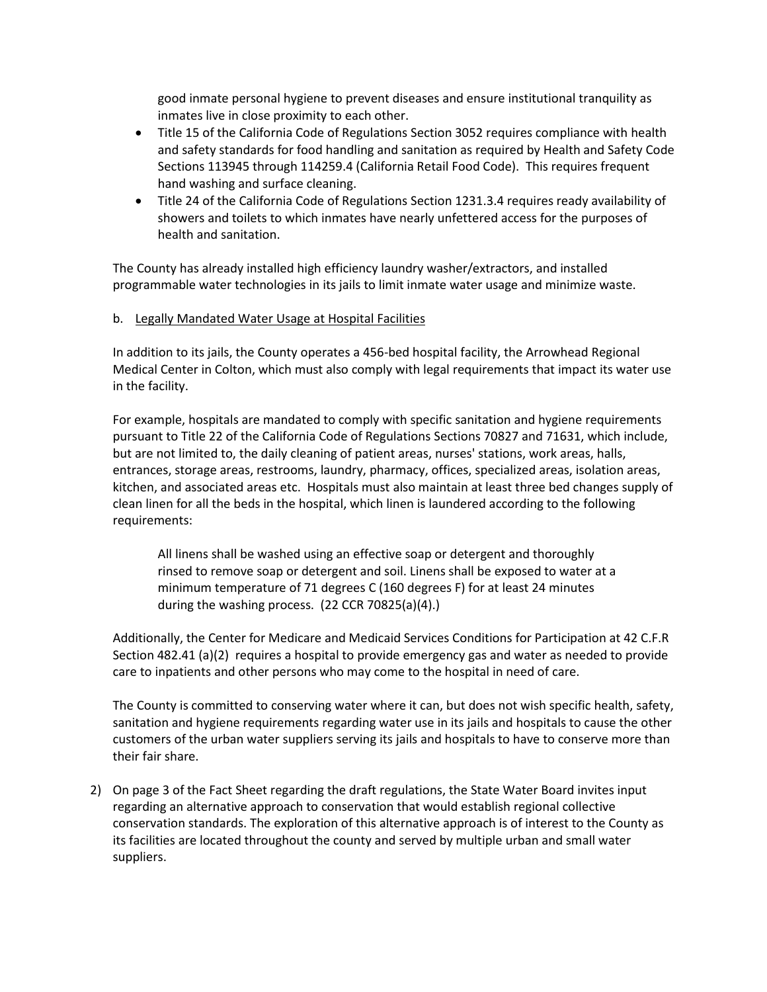good inmate personal hygiene to prevent diseases and ensure institutional tranquility as inmates live in close proximity to each other.

- Title 15 of the California Code of Regulations Section 3052 requires compliance with health and safety standards for food handling and sanitation as required by Health and Safety Code Sections 113945 through 114259.4 (California Retail Food Code). This requires frequent hand washing and surface cleaning.
- Title 24 of the California Code of Regulations Section 1231.3.4 requires ready availability of showers and toilets to which inmates have nearly unfettered access for the purposes of health and sanitation.

The County has already installed high efficiency laundry washer/extractors, and installed programmable water technologies in its jails to limit inmate water usage and minimize waste.

## b. Legally Mandated Water Usage at Hospital Facilities

In addition to its jails, the County operates a 456-bed hospital facility, the Arrowhead Regional Medical Center in Colton, which must also comply with legal requirements that impact its water use in the facility.

For example, hospitals are mandated to comply with specific sanitation and hygiene requirements pursuant to Title 22 of the California Code of Regulations Sections 70827 and 71631, which include, but are not limited to, the daily cleaning of patient areas, nurses' stations, work areas, halls, entrances, storage areas, restrooms, laundry, pharmacy, offices, specialized areas, isolation areas, kitchen, and associated areas etc. Hospitals must also maintain at least three bed changes supply of clean linen for all the beds in the hospital, which linen is laundered according to the following requirements:

All linens shall be washed using an effective soap or detergent and thoroughly rinsed to remove soap or detergent and soil. Linens shall be exposed to water at a minimum temperature of 71 degrees C (160 degrees F) for at least 24 minutes during the washing process. (22 CCR 70825(a)(4).)

Additionally, the Center for Medicare and Medicaid Services Conditions for Participation at 42 C.F.R Section 482.41 (a)(2) requires a hospital to provide emergency gas and water as needed to provide care to inpatients and other persons who may come to the hospital in need of care.

The County is committed to conserving water where it can, but does not wish specific health, safety, sanitation and hygiene requirements regarding water use in its jails and hospitals to cause the other customers of the urban water suppliers serving its jails and hospitals to have to conserve more than their fair share.

2) On page 3 of the Fact Sheet regarding the draft regulations, the State Water Board invites input regarding an alternative approach to conservation that would establish regional collective conservation standards. The exploration of this alternative approach is of interest to the County as its facilities are located throughout the county and served by multiple urban and small water suppliers.